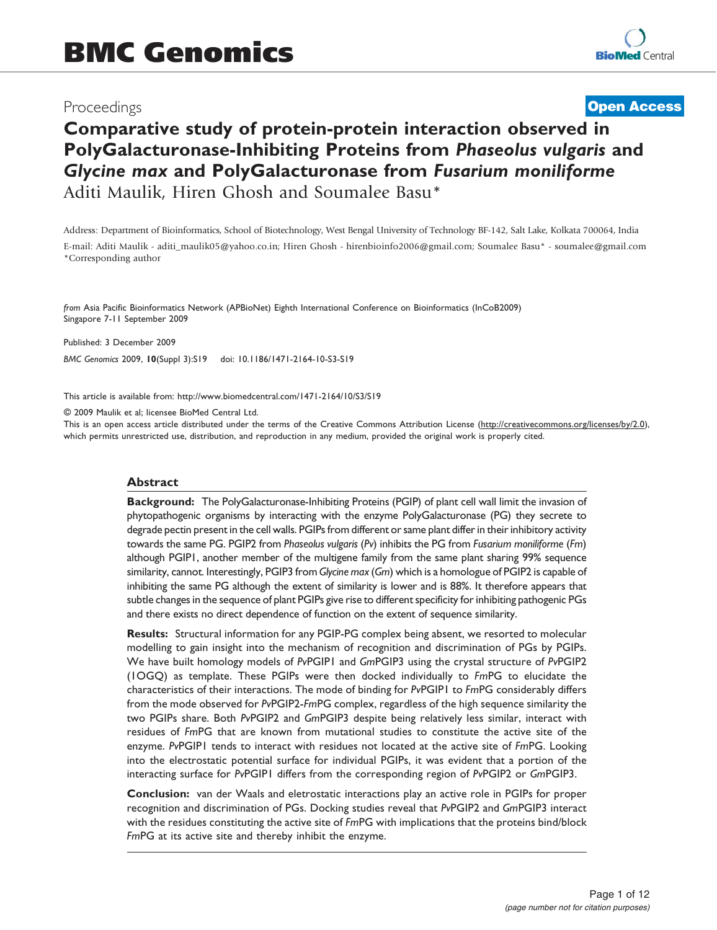## Proceedings

## [Open Access](http://www.biomedcentral.com/info/about/charter/)

# Comparative study of protein-protein interaction observed in PolyGalacturonase-Inhibiting Proteins from Phaseolus vulgaris and Glycine max and PolyGalacturonase from Fusarium moniliforme Aditi Maulik, Hiren Ghosh and Soumalee Basu\*

Address: Department of Bioinformatics, School of Biotechnology, West Bengal University of Technology BF-142, Salt Lake, Kolkata 700064, India E-mail: Aditi Maulik - [aditi\\_maulik05@yahoo.co.in](mailto:aditi_maulik05@yahoo.co.in); Hiren Ghosh - [hirenbioinfo2006@gmail.com;](mailto:hirenbioinfo2006@gmail.com) Soumalee Basu\* - [soumalee@gmail.com](mailto:soumalee@gmail.com) \*Corresponding author

from Asia Pacific Bioinformatics Network (APBioNet) Eighth International Conference on Bioinformatics (InCoB2009) Singapore 7-11 September 2009

Published: 3 December 2009 BMC Genomics 2009, 10(Suppl 3):S19 doi: 10.1186/1471-2164-10-S3-S19

This article is available from: http://www.biomedcentral.com/1471-2164/10/S3/S19

© 2009 Maulik et al; licensee BioMed Central Ltd.

This is an open access article distributed under the terms of the Creative Commons Attribution License [\(http://creativecommons.org/licenses/by/2.0\)](http://creativecommons.org/licenses/by/2.0), which permits unrestricted use, distribution, and reproduction in any medium, provided the original work is properly cited.

## Abstract

Background: The PolyGalacturonase-Inhibiting Proteins (PGIP) of plant cell wall limit the invasion of phytopathogenic organisms by interacting with the enzyme PolyGalacturonase (PG) they secrete to degrade pectin present in the cell walls. PGIPs from different or same plant differ in their inhibitory activity towards the same PG. PGIP2 from Phaseolus vulgaris (Pv) inhibits the PG from Fusarium moniliforme (Fm) although PGIP1, another member of the multigene family from the same plant sharing 99% sequence similarity, cannot. Interestingly, PGIP3 from Glycine max (Gm) which is a homologue of PGIP2 is capable of inhibiting the same PG although the extent of similarity is lower and is 88%. It therefore appears that subtle changes in the sequence of plant PGIPs give rise to different specificity for inhibiting pathogenic PGs and there exists no direct dependence of function on the extent of sequence similarity.

Results: Structural information for any PGIP-PG complex being absent, we resorted to molecular modelling to gain insight into the mechanism of recognition and discrimination of PGs by PGIPs. We have built homology models of PvPGIP1 and GmPGIP3 using the crystal structure of PvPGIP2 (1OGQ) as template. These PGIPs were then docked individually to FmPG to elucidate the characteristics of their interactions. The mode of binding for PvPGIP1 to FmPG considerably differs from the mode observed for PvPGIP2-FmPG complex, regardless of the high sequence similarity the two PGIPs share. Both PvPGIP2 and GmPGIP3 despite being relatively less similar, interact with residues of FmPG that are known from mutational studies to constitute the active site of the enzyme. PvPGIP1 tends to interact with residues not located at the active site of FmPG. Looking into the electrostatic potential surface for individual PGIPs, it was evident that a portion of the interacting surface for PvPGIP1 differs from the corresponding region of PvPGIP2 or GmPGIP3.

Conclusion: van der Waals and eletrostatic interactions play an active role in PGIPs for proper recognition and discrimination of PGs. Docking studies reveal that PvPGIP2 and GmPGIP3 interact with the residues constituting the active site of FmPG with implications that the proteins bind/block FmPG at its active site and thereby inhibit the enzyme.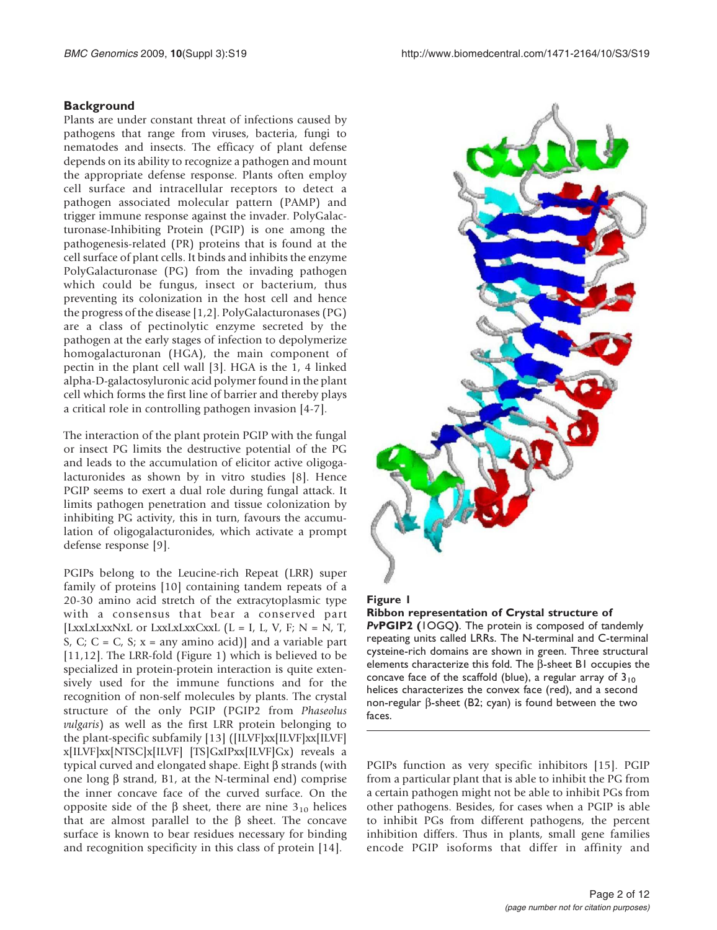## <span id="page-1-0"></span>**Background**

Plants are under constant threat of infections caused by pathogens that range from viruses, bacteria, fungi to nematodes and insects. The efficacy of plant defense depends on its ability to recognize a pathogen and mount the appropriate defense response. Plants often employ cell surface and intracellular receptors to detect a pathogen associated molecular pattern (PAMP) and trigger immune response against the invader. PolyGalacturonase-Inhibiting Protein (PGIP) is one among the pathogenesis-related (PR) proteins that is found at the cell surface of plant cells. It binds and inhibits the enzyme PolyGalacturonase (PG) from the invading pathogen which could be fungus, insect or bacterium, thus preventing its colonization in the host cell and hence the progress of the disease [[1](#page-10-0),[2](#page-10-0)]. PolyGalacturonases (PG) are a class of pectinolytic enzyme secreted by the pathogen at the early stages of infection to depolymerize homogalacturonan (HGA), the main component of pectin in the plant cell wall [\[3\]](#page-10-0). HGA is the 1, 4 linked alpha-D-galactosyluronic acid polymer found in the plant cell which forms the first line of barrier and thereby plays a critical role in controlling pathogen invasion [[4-7\]](#page-10-0).

The interaction of the plant protein PGIP with the fungal or insect PG limits the destructive potential of the PG and leads to the accumulation of elicitor active oligogalacturonides as shown by in vitro studies [[8](#page-10-0)]. Hence PGIP seems to exert a dual role during fungal attack. It limits pathogen penetration and tissue colonization by inhibiting PG activity, this in turn, favours the accumulation of oligogalacturonides, which activate a prompt defense response [\[9\]](#page-10-0).

PGIPs belong to the Leucine-rich Repeat (LRR) super family of proteins [\[10](#page-11-0)] containing tandem repeats of a 20-30 amino acid stretch of the extracytoplasmic type with a consensus that bear a conserved part [LxxLxLxxNxL or LxxLxLxxCxxL (L = I, L, V, F; N = N, T, S, C;  $C = C$ , S;  $x = any amino acid$  and a variable part [[11,12\]](#page-11-0). The LRR-fold (Figure 1) which is believed to be specialized in protein-protein interaction is quite extensively used for the immune functions and for the recognition of non-self molecules by plants. The crystal structure of the only PGIP (PGIP2 from Phaseolus vulgaris) as well as the first LRR protein belonging to the plant-specific subfamily [[13\]](#page-11-0) ([ILVF]xx[ILVF]xx[ILVF] x[ILVF]xx[NTSC]x[ILVF] [TS]GxIPxx[ILVF]Gx) reveals a typical curved and elongated shape. Eight  $\beta$  strands (with one long  $\beta$  strand, B1, at the N-terminal end) comprise the inner concave face of the curved surface. On the opposite side of the  $\beta$  sheet, there are nine 3<sub>10</sub> helices that are almost parallel to the  $\beta$  sheet. The concave surface is known to bear residues necessary for binding and recognition specificity in this class of protein [\[14](#page-11-0)].



#### Figure 1

Ribbon representation of Crystal structure of PvPGIP2 (1OGQ). The protein is composed of tandemly repeating units called LRRs. The N-terminal and C-terminal cysteine-rich domains are shown in green. Three structural elements characterize this fold. The  $\beta$ -sheet B1 occupies the concave face of the scaffold (blue), a regular array of  $3_{10}$ helices characterizes the convex face (red), and a second non-regular  $\beta$ -sheet (B2; cyan) is found between the two faces.

PGIPs function as very specific inhibitors [[15\]](#page-11-0). PGIP from a particular plant that is able to inhibit the PG from a certain pathogen might not be able to inhibit PGs from other pathogens. Besides, for cases when a PGIP is able to inhibit PGs from different pathogens, the percent inhibition differs. Thus in plants, small gene families encode PGIP isoforms that differ in affinity and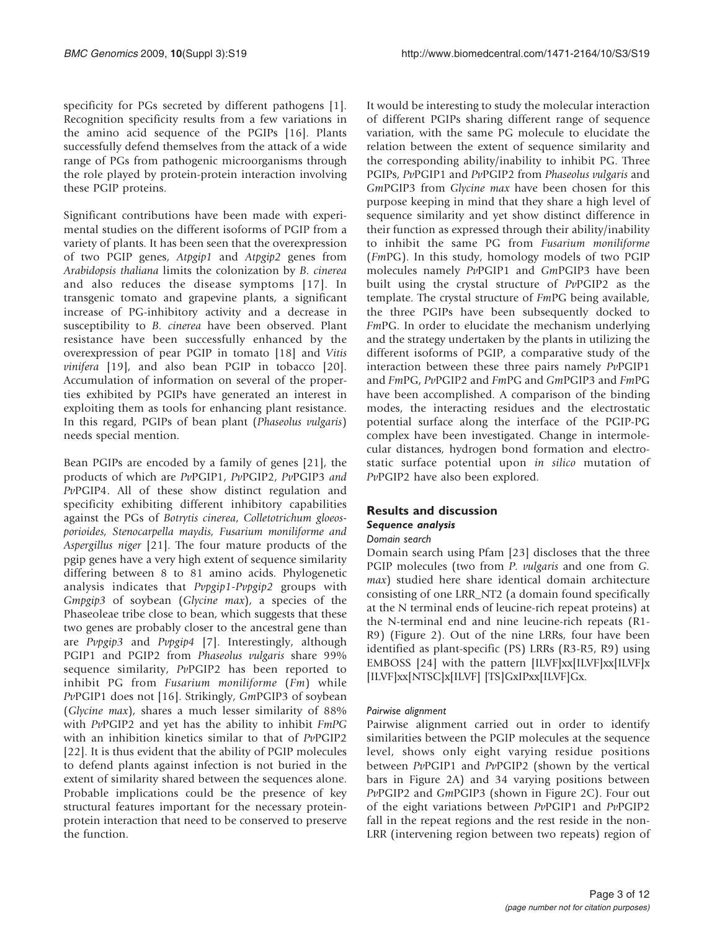specificity for PGs secreted by different pathogens [[1](#page-10-0)]. Recognition specificity results from a few variations in the amino acid sequence of the PGIPs [\[16](#page-11-0)]. Plants successfully defend themselves from the attack of a wide range of PGs from pathogenic microorganisms through the role played by protein-protein interaction involving these PGIP proteins.

Significant contributions have been made with experimental studies on the different isoforms of PGIP from a variety of plants. It has been seen that the overexpression of two PGIP genes, Atpgip1 and Atpgip2 genes from Arabidopsis thaliana limits the colonization by B. cinerea and also reduces the disease symptoms [[17\]](#page-11-0). In transgenic tomato and grapevine plants, a significant increase of PG-inhibitory activity and a decrease in susceptibility to B. cinerea have been observed. Plant resistance have been successfully enhanced by the overexpression of pear PGIP in tomato [[18](#page-11-0)] and Vitis vinifera [\[19](#page-11-0)], and also bean PGIP in tobacco [\[20](#page-11-0)]. Accumulation of information on several of the properties exhibited by PGIPs have generated an interest in exploiting them as tools for enhancing plant resistance. In this regard, PGIPs of bean plant (Phaseolus vulgaris) needs special mention.

Bean PGIPs are encoded by a family of genes [\[21](#page-11-0)], the products of which are PvPGIP1, PvPGIP2, PvPGIP3 and PvPGIP4. All of these show distinct regulation and specificity exhibiting different inhibitory capabilities against the PGs of Botrytis cinerea, Colletotrichum gloeosporioides, Stenocarpella maydis, Fusarium moniliforme and Aspergillus niger [\[21](#page-11-0)]. The four mature products of the pgip genes have a very high extent of sequence similarity differing between 8 to 81 amino acids. Phylogenetic analysis indicates that Pvpgip1-Pvpgip2 groups with Gmpgip3 of soybean (Glycine max), a species of the Phaseoleae tribe close to bean, which suggests that these two genes are probably closer to the ancestral gene than are Pvpgip3 and Pvpgip4 [[7](#page-10-0)]. Interestingly, although PGIP1 and PGIP2 from Phaseolus vulgaris share 99% sequence similarity, PvPGIP2 has been reported to inhibit PG from Fusarium moniliforme (Fm) while PvPGIP1 does not [[16\]](#page-11-0). Strikingly, GmPGIP3 of soybean (Glycine max), shares a much lesser similarity of 88% with PvPGIP2 and yet has the ability to inhibit FmPG with an inhibition kinetics similar to that of PvPGIP2 [[22\]](#page-11-0). It is thus evident that the ability of PGIP molecules to defend plants against infection is not buried in the extent of similarity shared between the sequences alone. Probable implications could be the presence of key structural features important for the necessary proteinprotein interaction that need to be conserved to preserve the function.

It would be interesting to study the molecular interaction of different PGIPs sharing different range of sequence variation, with the same PG molecule to elucidate the relation between the extent of sequence similarity and the corresponding ability/inability to inhibit PG. Three PGIPs, PvPGIP1 and PvPGIP2 from Phaseolus vulgaris and GmPGIP3 from Glycine max have been chosen for this purpose keeping in mind that they share a high level of sequence similarity and yet show distinct difference in their function as expressed through their ability/inability to inhibit the same PG from Fusarium moniliforme (FmPG). In this study, homology models of two PGIP molecules namely PvPGIP1 and GmPGIP3 have been built using the crystal structure of PvPGIP2 as the template. The crystal structure of FmPG being available, the three PGIPs have been subsequently docked to FmPG. In order to elucidate the mechanism underlying and the strategy undertaken by the plants in utilizing the different isoforms of PGIP, a comparative study of the interaction between these three pairs namely PvPGIP1 and FmPG, PvPGIP2 and FmPG and GmPGIP3 and FmPG have been accomplished. A comparison of the binding modes, the interacting residues and the electrostatic potential surface along the interface of the PGIP-PG complex have been investigated. Change in intermolecular distances, hydrogen bond formation and electrostatic surface potential upon in silico mutation of PvPGIP2 have also been explored.

## Results and discussion Sequence analysis

## Domain search

Domain search using Pfam [\[23](#page-11-0)] discloses that the three PGIP molecules (two from P. vulgaris and one from G. max) studied here share identical domain architecture consisting of one LRR\_NT2 (a domain found specifically at the N terminal ends of leucine-rich repeat proteins) at the N-terminal end and nine leucine-rich repeats (R1- R9) (Figure [2](#page-3-0)). Out of the nine LRRs, four have been identified as plant-specific (PS) LRRs (R3-R5, R9) using EMBOSS  $[24]$  $[24]$  with the pattern  $[ILVF]xx[ILVF]xx[ILVF]x$ [ILVF]xx[NTSC]x[ILVF] [TS]GxIPxx[ILVF]Gx.

## Pairwise alignment

Pairwise alignment carried out in order to identify similarities between the PGIP molecules at the sequence level, shows only eight varying residue positions between PvPGIP1 and PvPGIP2 (shown by the vertical bars in Figure [2A](#page-3-0)) and 34 varying positions between PvPGIP2 and GmPGIP3 (shown in Figure [2C\)](#page-3-0). Four out of the eight variations between PvPGIP1 and PvPGIP2 fall in the repeat regions and the rest reside in the non-LRR (intervening region between two repeats) region of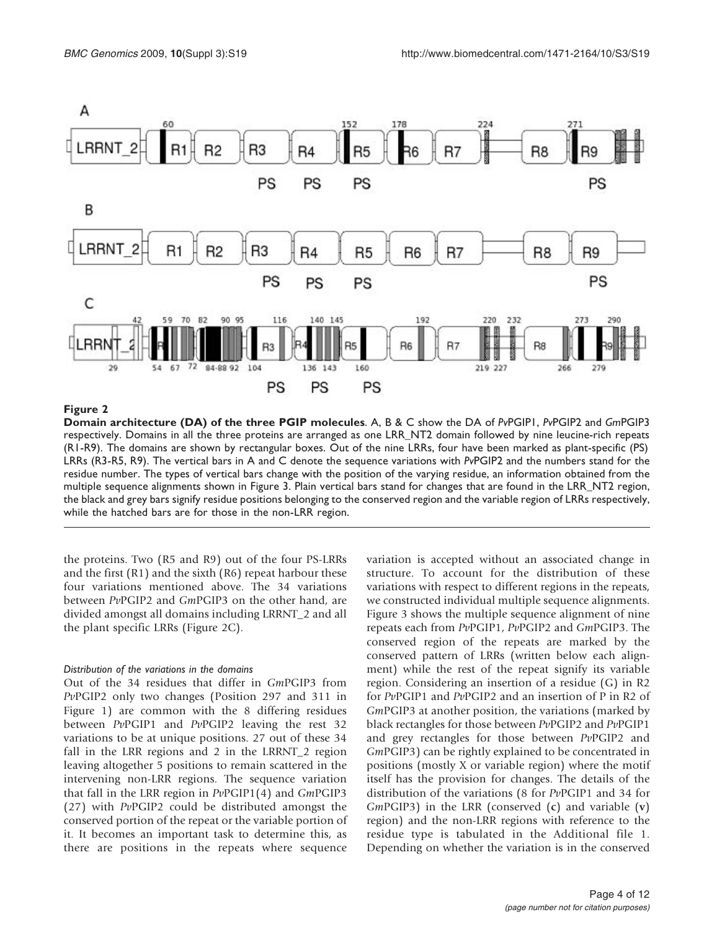<span id="page-3-0"></span>

#### Figure 2

Domain architecture (DA) of the three PGIP molecules. A, B & C show the DA of PvPGIP1, PvPGIP2 and GmPGIP3 respectively. Domains in all the three proteins are arranged as one LRR\_NT2 domain followed by nine leucine-rich repeats (R1-R9). The domains are shown by rectangular boxes. Out of the nine LRRs, four have been marked as plant-specific (PS) LRRs (R3-R5, R9). The vertical bars in A and C denote the sequence variations with PvPGIP2 and the numbers stand for the residue number. The types of vertical bars change with the position of the varying residue, an information obtained from the multiple sequence alignments shown in Figure 3. Plain vertical bars stand for changes that are found in the LRR\_NT2 region, the black and grey bars signify residue positions belonging to the conserved region and the variable region of LRRs respectively, while the hatched bars are for those in the non-LRR region.

the proteins. Two (R5 and R9) out of the four PS-LRRs and the first (R1) and the sixth (R6) repeat harbour these four variations mentioned above. The 34 variations between PvPGIP2 and GmPGIP3 on the other hand, are divided amongst all domains including LRRNT\_2 and all the plant specific LRRs (Figure 2C).

#### Distribution of the variations in the domains

Out of the 34 residues that differ in GmPGIP3 from PvPGIP2 only two changes (Position 297 and 311 in Figure [1\)](#page-1-0) are common with the 8 differing residues between PvPGIP1 and PvPGIP2 leaving the rest 32 variations to be at unique positions. 27 out of these 34 fall in the LRR regions and 2 in the LRRNT\_2 region leaving altogether 5 positions to remain scattered in the intervening non-LRR regions. The sequence variation that fall in the LRR region in PvPGIP1(4) and GmPGIP3 (27) with PvPGIP2 could be distributed amongst the conserved portion of the repeat or the variable portion of it. It becomes an important task to determine this, as there are positions in the repeats where sequence variation is accepted without an associated change in structure. To account for the distribution of these variations with respect to different regions in the repeats, we constructed individual multiple sequence alignments. Figure [3](#page-4-0) shows the multiple sequence alignment of nine repeats each from PvPGIP1, PvPGIP2 and GmPGIP3. The conserved region of the repeats are marked by the conserved pattern of LRRs (written below each alignment) while the rest of the repeat signify its variable region. Considering an insertion of a residue (G) in R2 for PvPGIP1 and PvPGIP2 and an insertion of P in R2 of GmPGIP3 at another position, the variations (marked by black rectangles for those between PvPGIP2 and PvPGIP1 and grey rectangles for those between PvPGIP2 and GmPGIP3) can be rightly explained to be concentrated in positions (mostly X or variable region) where the motif itself has the provision for changes. The details of the distribution of the variations (8 for PvPGIP1 and 34 for GmPGIP3) in the LRR (conserved (c) and variable (v) region) and the non-LRR regions with reference to the residue type is tabulated in the Additional file [1.](#page-10-0) Depending on whether the variation is in the conserved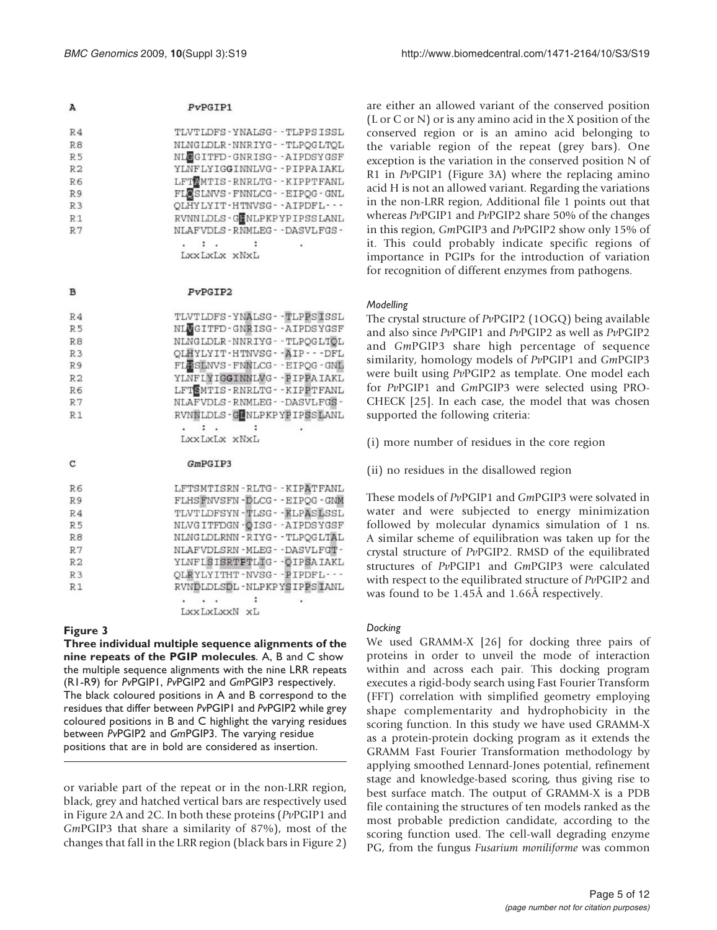<span id="page-4-0"></span>A  $PvPGTP1$ 

| R <sub>4</sub> | TLVTLDFS-YNALSG--TLPPSISSL    |
|----------------|-------------------------------|
| R8             | NLNGLDLR-NNRIYG--TLPOGLTOL    |
| R <sub>5</sub> | NLGGITFD-GNRISG--AIPDSYGSF    |
| R <sub>2</sub> | YLNFLYIGGINNLVG - - PIPPAIAKL |
| R <sub>6</sub> | LFTEMTIS-RNRLTG--KIPPTFANL    |
| R9             | FLOSLNVS-FNNLCG--EIPQG-GNL    |
| R3             | QLHYLYIT-HTNVSG--AIPDFL---    |
| R1             | RVNNLDLS-GENLPKPYPIPSSLANL    |
| R7             | NLAFVDLS-RNMLEG--DASVLFGS-    |
|                |                               |
|                |                               |

LXXLXLX XNXL

#### PvPGIP2

| R <sub>4</sub> | TLVTLDFS-YNALSG--TLPPSISSL    |
|----------------|-------------------------------|
| R <sub>5</sub> | NLWGITFD-GNRISG--AIPDSYGSF    |
| R8             | NLNGLDLR-NNRIYG--TLPOGLTOL    |
| R <sub>3</sub> | QLHYLYIT-HTNVSG--AIP---DFL    |
| R <sub>9</sub> | FLESLNVS-FNNLCG--EIPOG-GNL    |
| R <sub>2</sub> | YLNFLYIGGINNLVG - - PIPPAIAKL |
| R <sub>6</sub> | LFTEMTIS-RNRLTG--KIPPTFANL    |
| R7             | NLAFVDLS-RNMLEG--DASVLFGS-    |
| R1             | RVNNLDLS-GLNLPKPYPIPSSLANL    |
|                | ٠                             |

```
LXXLXLX XNXL
```
#### $\mathbf{C}$  $GmPGTP3$

| R6             | LFTSMTISRN-RLTG--KIPATFANL    |
|----------------|-------------------------------|
| R <sub>9</sub> | FLHSENVSFN-DLCG--EIPOG-GNM    |
| R <sub>4</sub> | TLVTLDFSYN-TLSG--KLPASLSSL    |
| R5             | NLVGITFDGN-QISG--AIPDSYGSF    |
| R8             | NLNGLDLRNN-RIYG--TLPOGLTAL    |
| R7             | NLAFVDLSRN-MLEG--DASVLFGT-    |
| R2             | YLNFLSISRTPTLIG - - OIPSAIAKL |
| R <sub>3</sub> | OLRYLYITHT-NVSG--PIPDFL---    |
| R1             | RVNDLDLSDL-NLPKPYSIPPS IANL   |
|                |                               |
|                | LyxLyLyyN yL                  |

## Figure 3

 $\, {\bf B}$ 

Three individual multiple sequence alignments of the nine repeats of the PGIP molecules. A, B and C show the multiple sequence alignments with the nine LRR repeats (R1-R9) for PvPGIP1, PvPGIP2 and GmPGIP3 respectively. The black coloured positions in A and B correspond to the residues that differ between PvPGIP1 and PvPGIP2 while grey coloured positions in B and C highlight the varying residues between PvPGIP2 and GmPGIP3. The varying residue positions that are in bold are considered as insertion.

or variable part of the repeat or in the non-LRR region, black, grey and hatched vertical bars are respectively used in Figure [2A](#page-3-0) and [2C](#page-3-0). In both these proteins (PvPGIP1 and GmPGIP3 that share a similarity of 87%), most of the changes that fall in the LRR region (black bars in Figure [2](#page-3-0))

are either an allowed variant of the conserved position (L or C or N) or is any amino acid in the X position of the conserved region or is an amino acid belonging to the variable region of the repeat (grey bars). One exception is the variation in the conserved position N of R1 in PvPGIP1 (Figure 3A) where the replacing amino acid H is not an allowed variant. Regarding the variations in the non-LRR region, Additional file [1](#page-10-0) points out that whereas PvPGIP1 and PvPGIP2 share 50% of the changes in this region, GmPGIP3 and PvPGIP2 show only 15% of it. This could probably indicate specific regions of importance in PGIPs for the introduction of variation for recognition of different enzymes from pathogens.

#### Modelling

The crystal structure of PvPGIP2 (1OGQ) being available and also since PvPGIP1 and PvPGIP2 as well as PvPGIP2 and GmPGIP3 share high percentage of sequence similarity, homology models of PvPGIP1 and GmPGIP3 were built using PvPGIP2 as template. One model each for PvPGIP1 and GmPGIP3 were selected using PRO-CHECK [\[25](#page-11-0)]. In each case, the model that was chosen supported the following criteria:

(i) more number of residues in the core region

(ii) no residues in the disallowed region

These models of PvPGIP1 and GmPGIP3 were solvated in water and were subjected to energy minimization followed by molecular dynamics simulation of 1 ns. A similar scheme of equilibration was taken up for the crystal structure of PvPGIP2. RMSD of the equilibrated structures of PvPGIP1 and GmPGIP3 were calculated with respect to the equilibrated structure of PvPGIP2 and was found to be 1.45Å and 1.66Å respectively.

## Docking

We used GRAMM-X [\[26](#page-11-0)] for docking three pairs of proteins in order to unveil the mode of interaction within and across each pair. This docking program executes a rigid-body search using Fast Fourier Transform (FFT) correlation with simplified geometry employing shape complementarity and hydrophobicity in the scoring function. In this study we have used GRAMM-X as a protein-protein docking program as it extends the GRAMM Fast Fourier Transformation methodology by applying smoothed Lennard-Jones potential, refinement stage and knowledge-based scoring, thus giving rise to best surface match. The output of GRAMM-X is a PDB file containing the structures of ten models ranked as the most probable prediction candidate, according to the scoring function used. The cell-wall degrading enzyme PG, from the fungus Fusarium moniliforme was common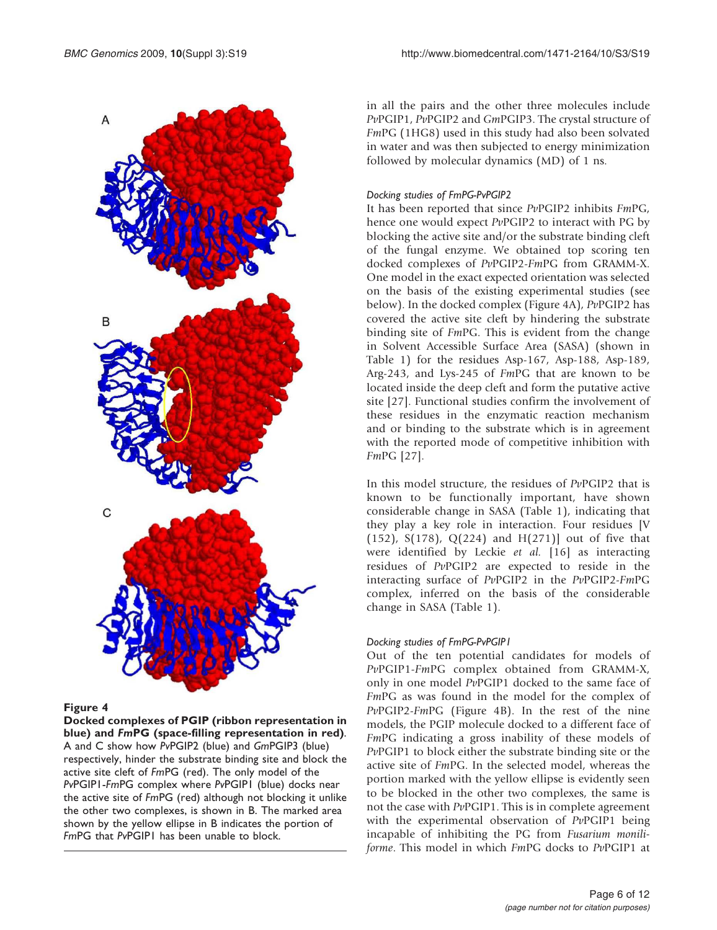<span id="page-5-0"></span>

#### Figure 4

Docked complexes of PGIP (ribbon representation in blue) and FmPG (space-filling representation in red). A and C show how PvPGIP2 (blue) and GmPGIP3 (blue) respectively, hinder the substrate binding site and block the active site cleft of FmPG (red). The only model of the PvPGIP1-FmPG complex where PvPGIP1 (blue) docks near the active site of FmPG (red) although not blocking it unlike the other two complexes, is shown in B. The marked area shown by the yellow ellipse in B indicates the portion of FmPG that PvPGIP1 has been unable to block.

in all the pairs and the other three molecules include PvPGIP1, PvPGIP2 and GmPGIP3. The crystal structure of FmPG (1HG8) used in this study had also been solvated in water and was then subjected to energy minimization followed by molecular dynamics (MD) of 1 ns.

## Docking studies of FmPG-PvPGIP2

It has been reported that since PvPGIP2 inhibits FmPG, hence one would expect PvPGIP2 to interact with PG by blocking the active site and/or the substrate binding cleft of the fungal enzyme. We obtained top scoring ten docked complexes of PvPGIP2-FmPG from GRAMM-X. One model in the exact expected orientation was selected on the basis of the existing experimental studies (see below). In the docked complex (Figure 4A), PvPGIP2 has covered the active site cleft by hindering the substrate binding site of FmPG. This is evident from the change in Solvent Accessible Surface Area (SASA) (shown in Table [1\)](#page-6-0) for the residues Asp-167, Asp-188, Asp-189, Arg-243, and Lys-245 of FmPG that are known to be located inside the deep cleft and form the putative active site [\[27](#page-11-0)]. Functional studies confirm the involvement of these residues in the enzymatic reaction mechanism and or binding to the substrate which is in agreement with the reported mode of competitive inhibition with FmPG [\[27](#page-11-0)].

In this model structure, the residues of PvPGIP2 that is known to be functionally important, have shown considerable change in SASA (Table [1](#page-6-0)), indicating that they play a key role in interaction. Four residues [V (152), S(178), Q(224) and H(271)] out of five that were identified by Leckie et al. [[16](#page-11-0)] as interacting residues of PvPGIP2 are expected to reside in the interacting surface of PvPGIP2 in the PvPGIP2-FmPG complex, inferred on the basis of the considerable change in SASA (Table [1\)](#page-6-0).

## Docking studies of FmPG-PvPGIP1

Out of the ten potential candidates for models of PvPGIP1-FmPG complex obtained from GRAMM-X, only in one model PvPGIP1 docked to the same face of FmPG as was found in the model for the complex of PvPGIP2-FmPG (Figure 4B). In the rest of the nine models, the PGIP molecule docked to a different face of FmPG indicating a gross inability of these models of PvPGIP1 to block either the substrate binding site or the active site of FmPG. In the selected model, whereas the portion marked with the yellow ellipse is evidently seen to be blocked in the other two complexes, the same is not the case with PvPGIP1. This is in complete agreement with the experimental observation of PvPGIP1 being incapable of inhibiting the PG from Fusarium moniliforme. This model in which FmPG docks to PvPGIP1 at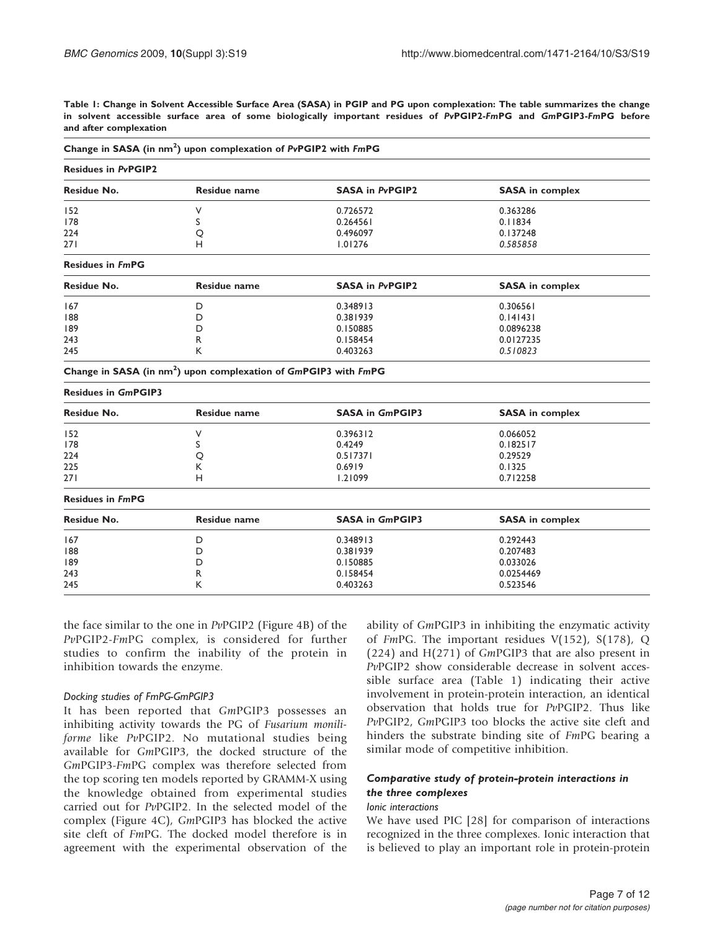<span id="page-6-0"></span>Table 1: Change in Solvent Accessible Surface Area (SASA) in PGIP and PG upon complexation: The table summarizes the change in solvent accessible surface area of some biologically important residues of PvPGIP2-FmPG and GmPGIP3-FmPG before and after complexation

|                            | Change in SASA (in him ) upon complexation of Predict with Filicult           |                        |                                    |  |  |  |  |
|----------------------------|-------------------------------------------------------------------------------|------------------------|------------------------------------|--|--|--|--|
| <b>Residues in PvPGIP2</b> |                                                                               |                        |                                    |  |  |  |  |
| Residue No.                | <b>Residue name</b>                                                           | <b>SASA in PvPGIP2</b> | <b>SASA</b> in complex<br>0.363286 |  |  |  |  |
| 152                        | ٧                                                                             | 0.726572               |                                    |  |  |  |  |
| 178                        | S                                                                             | 0.264561               | 0.11834                            |  |  |  |  |
| 224                        | Q                                                                             | 0.496097               | 0.137248                           |  |  |  |  |
| 271                        | н                                                                             | 1.01276                | 0.585858                           |  |  |  |  |
| <b>Residues in FmPG</b>    |                                                                               |                        |                                    |  |  |  |  |
| Residue No.                | <b>Residue name</b>                                                           | <b>SASA in PvPGIP2</b> | <b>SASA</b> in complex             |  |  |  |  |
| 167                        | D                                                                             | 0.348913               | 0.306561                           |  |  |  |  |
| 188                        | D                                                                             | 0.381939               | 0.141431                           |  |  |  |  |
| 189                        | D                                                                             | 0.150885               | 0.0896238                          |  |  |  |  |
| 243                        | R                                                                             | 0.158454               | 0.0127235                          |  |  |  |  |
| 245                        | К                                                                             | 0.403263               | 0.510823                           |  |  |  |  |
|                            | Change in SASA (in nm <sup>2</sup> ) upon complexation of GmPGIP3 with $FmPG$ |                        |                                    |  |  |  |  |
| <b>Residues in GmPGIP3</b> |                                                                               |                        |                                    |  |  |  |  |
| Residue No.                | <b>Residue name</b>                                                           | <b>SASA in GmPGIP3</b> | <b>SASA</b> in complex             |  |  |  |  |
| 152                        | ٧                                                                             | 0.396312               | 0.066052                           |  |  |  |  |
| 178                        | S                                                                             | 0.4249                 | 0.182517                           |  |  |  |  |
| 224                        | Q                                                                             | 0.517371               | 0.29529                            |  |  |  |  |
| 225                        | Κ                                                                             | 0.6919                 | 0.1325                             |  |  |  |  |
| 271                        | н                                                                             | 1.21099                | 0.712258                           |  |  |  |  |
| <b>Residues in FmPG</b>    |                                                                               |                        |                                    |  |  |  |  |
| Residue No.                | <b>SASA in GmPGIP3</b><br><b>Residue name</b>                                 |                        | <b>SASA</b> in complex             |  |  |  |  |
| 167                        | D                                                                             | 0.348913               | 0.292443                           |  |  |  |  |
| 188                        | D                                                                             | 0.381939               | 0.207483                           |  |  |  |  |
| 189                        | D                                                                             | 0.150885               | 0.033026                           |  |  |  |  |

243 R 0.158454 0.0254469 245 C.523546 K K 0.403263 C.523546

 $Chanes$  in  $SABA$  (in nm<sup>2</sup>)  $\overline{v}$  belong with FmPG

the face similar to the one in PvPGIP2 (Figure [4B\)](#page-5-0) of the PvPGIP2-FmPG complex, is considered for further studies to confirm the inability of the protein in inhibition towards the enzyme.

#### Docking studies of FmPG-GmPGIP3

It has been reported that GmPGIP3 possesses an inhibiting activity towards the PG of Fusarium moniliforme like PvPGIP2. No mutational studies being available for GmPGIP3, the docked structure of the GmPGIP3-FmPG complex was therefore selected from the top scoring ten models reported by GRAMM-X using the knowledge obtained from experimental studies carried out for PvPGIP2. In the selected model of the complex (Figure [4C\)](#page-5-0), GmPGIP3 has blocked the active site cleft of FmPG. The docked model therefore is in agreement with the experimental observation of the ability of GmPGIP3 in inhibiting the enzymatic activity of FmPG. The important residues V(152), S(178), Q (224) and H(271) of GmPGIP3 that are also present in PvPGIP2 show considerable decrease in solvent accessible surface area (Table 1) indicating their active involvement in protein-protein interaction, an identical observation that holds true for PvPGIP2. Thus like PvPGIP2, GmPGIP3 too blocks the active site cleft and hinders the substrate binding site of FmPG bearing a similar mode of competitive inhibition.

## Comparative study of protein-protein interactions in the three complexes

## Ionic interactions

We have used PIC [[28\]](#page-11-0) for comparison of interactions recognized in the three complexes. Ionic interaction that is believed to play an important role in protein-protein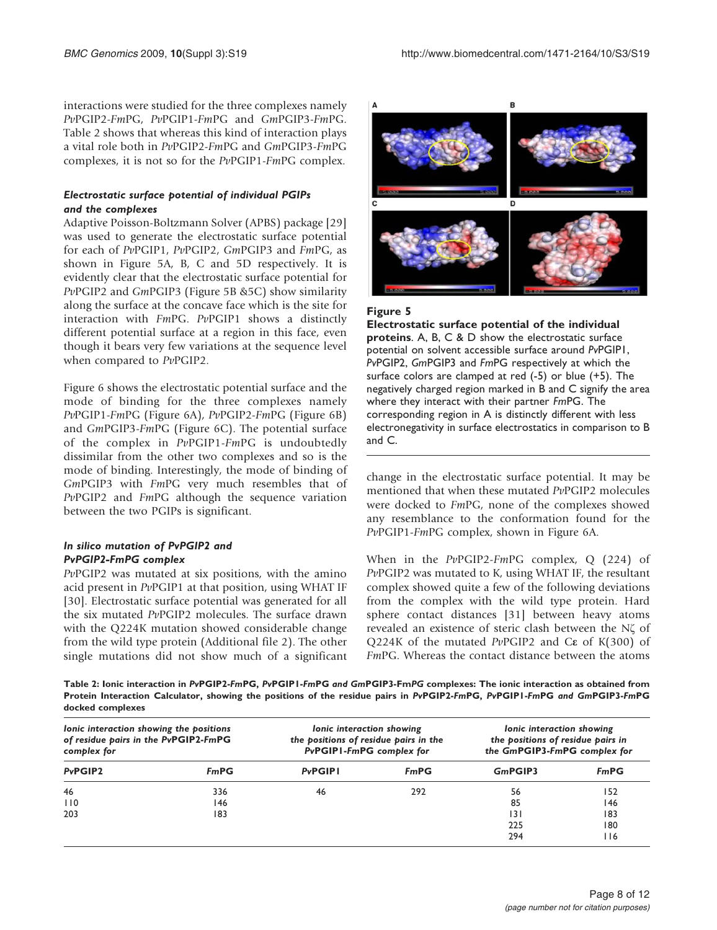<span id="page-7-0"></span>interactions were studied for the three complexes namely PvPGIP2-FmPG, PvPGIP1-FmPG and GmPGIP3-FmPG. Table 2 shows that whereas this kind of interaction plays a vital role both in PvPGIP2-FmPG and GmPGIP3-FmPG complexes, it is not so for the PvPGIP1-FmPG complex.

## Electrostatic surface potential of individual PGIPs and the complexes

Adaptive Poisson-Boltzmann Solver (APBS) package [[29\]](#page-11-0) was used to generate the electrostatic surface potential for each of PvPGIP1, PvPGIP2, GmPGIP3 and FmPG, as shown in Figure 5A, B, C and 5D respectively. It is evidently clear that the electrostatic surface potential for PvPGIP2 and GmPGIP3 (Figure 5B &5C) show similarity along the surface at the concave face which is the site for interaction with FmPG. PvPGIP1 shows a distinctly different potential surface at a region in this face, even though it bears very few variations at the sequence level when compared to PvPGIP2.

Figure [6](#page-8-0) shows the electrostatic potential surface and the mode of binding for the three complexes namely PvPGIP1-FmPG (Figure [6A\)](#page-8-0), PvPGIP2-FmPG (Figure [6B](#page-8-0)) and GmPGIP3-FmPG (Figure [6C](#page-8-0)). The potential surface of the complex in PvPGIP1-FmPG is undoubtedly dissimilar from the other two complexes and so is the mode of binding. Interestingly, the mode of binding of GmPGIP3 with FmPG very much resembles that of PvPGIP2 and FmPG although the sequence variation between the two PGIPs is significant.

## In silico mutation of PvPGIP2 and PvPGIP2-FmPG complex

PvPGIP2 was mutated at six positions, with the amino acid present in PvPGIP1 at that position, using WHAT IF [[30\]](#page-11-0). Electrostatic surface potential was generated for all the six mutated PvPGIP2 molecules. The surface drawn with the Q224K mutation showed considerable change from the wild type protein (Additional file 2). The other single mutations did not show much of a significant



## Figure 5

Electrostatic surface potential of the individual proteins. A, B, C & D show the electrostatic surface potential on solvent accessible surface around PvPGIP1, PvPGIP2, GmPGIP3 and FmPG respectively at which the surface colors are clamped at red (-5) or blue (+5). The negatively charged region marked in B and C signify the area where they interact with their partner FmPG. The corresponding region in A is distinctly different with less electronegativity in surface electrostatics in comparison to B and C.

change in the electrostatic surface potential. It may be mentioned that when these mutated PvPGIP2 molecules were docked to FmPG, none of the complexes showed any resemblance to the conformation found for the PvPGIP1-FmPG complex, shown in Figure [6A](#page-8-0).

When in the PvPGIP2-FmPG complex, Q (224) of PvPGIP2 was mutated to K, using WHAT IF, the resultant complex showed quite a few of the following deviations from the complex with the wild type protein. Hard sphere contact distances [[31\]](#page-11-0) between heavy atoms revealed an existence of steric clash between the Nζ of Q224K of the mutated PvPGIP2 and Cε of K(300) of FmPG. Whereas the contact distance between the atoms

Table 2: Ionic interaction in PvPGIP2-FmPG, PvPGIP1-FmPG and GmPGIP3-FmPG complexes: The ionic interaction as obtained from Protein Interaction Calculator, showing the positions of the residue pairs in PvPGIP2-FmPG, PvPGIP1-FmPG and GmPGIP3-FmPG docked complexes

| lonic interaction showing the positions<br>of residue pairs in the PvPGIP2-FmPG<br>complex for |      | lonic interaction showing<br>the positions of residue pairs in the<br>PvPGIP1-FmPG complex for |      | lonic interaction showing<br>the positions of residue pairs in<br>the GmPGIP3-FmPG complex for |             |
|------------------------------------------------------------------------------------------------|------|------------------------------------------------------------------------------------------------|------|------------------------------------------------------------------------------------------------|-------------|
| PvPGIP2                                                                                        | FmPG | <b>PvPGIPI</b>                                                                                 | FmPG | GmPGIP3                                                                                        | <b>FmPG</b> |
| 46                                                                                             | 336  | 46                                                                                             | 292  | 56                                                                                             | 152         |
| 110                                                                                            | 146  |                                                                                                |      | 85                                                                                             | 146         |
| 203                                                                                            | 183  |                                                                                                |      | 131                                                                                            | 183         |
|                                                                                                |      |                                                                                                |      | 225                                                                                            | 180         |
|                                                                                                |      |                                                                                                |      | 294                                                                                            | I 16        |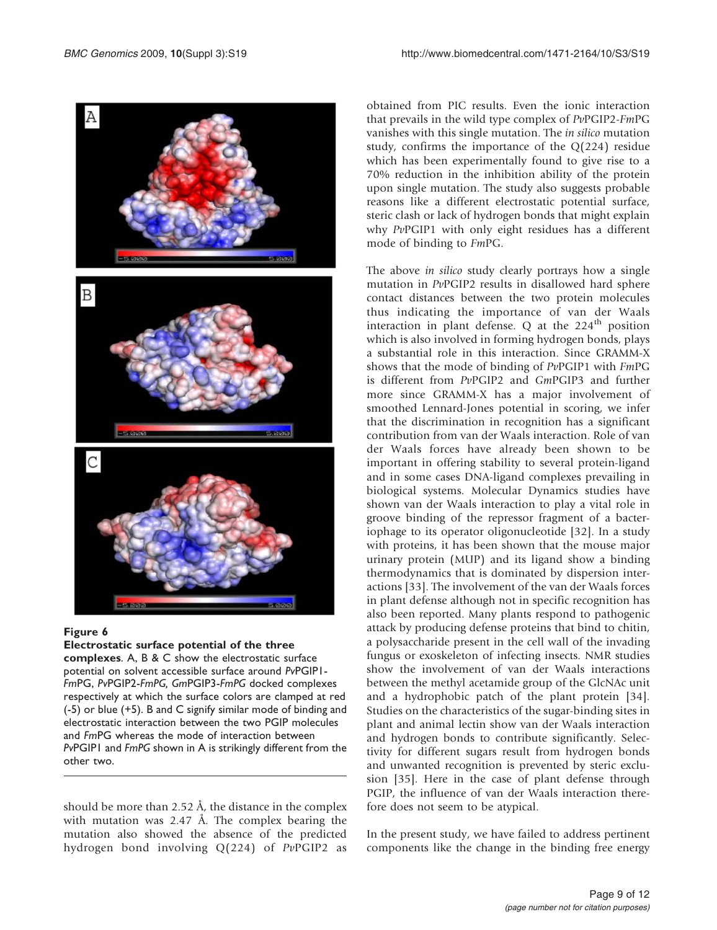<span id="page-8-0"></span>

#### Figure 6

## Electrostatic surface potential of the three

complexes. A, B & C show the electrostatic surface potential on solvent accessible surface around PvPGIP1- FmPG, PvPGIP2-FmPG, GmPGIP3-FmPG docked complexes respectively at which the surface colors are clamped at red (-5) or blue (+5). B and C signify similar mode of binding and electrostatic interaction between the two PGIP molecules and FmPG whereas the mode of interaction between PvPGIP1 and FmPG shown in A is strikingly different from the other two.

should be more than 2.52 Å, the distance in the complex with mutation was 2.47 Å. The complex bearing the mutation also showed the absence of the predicted hydrogen bond involving Q(224) of PvPGIP2 as

obtained from PIC results. Even the ionic interaction that prevails in the wild type complex of PvPGIP2-FmPG vanishes with this single mutation. The in silico mutation study, confirms the importance of the Q(224) residue which has been experimentally found to give rise to a 70% reduction in the inhibition ability of the protein upon single mutation. The study also suggests probable reasons like a different electrostatic potential surface, steric clash or lack of hydrogen bonds that might explain why PvPGIP1 with only eight residues has a different mode of binding to FmPG.

The above in silico study clearly portrays how a single mutation in PvPGIP2 results in disallowed hard sphere contact distances between the two protein molecules thus indicating the importance of van der Waals interaction in plant defense. Q at the  $224<sup>th</sup>$  position which is also involved in forming hydrogen bonds, plays a substantial role in this interaction. Since GRAMM-X shows that the mode of binding of PvPGIP1 with FmPG is different from PvPGIP2 and GmPGIP3 and further more since GRAMM-X has a major involvement of smoothed Lennard-Jones potential in scoring, we infer that the discrimination in recognition has a significant contribution from van der Waals interaction. Role of van der Waals forces have already been shown to be important in offering stability to several protein-ligand and in some cases DNA-ligand complexes prevailing in biological systems. Molecular Dynamics studies have shown van der Waals interaction to play a vital role in groove binding of the repressor fragment of a bacteriophage to its operator oligonucleotide [[32\]](#page-11-0). In a study with proteins, it has been shown that the mouse major urinary protein (MUP) and its ligand show a binding thermodynamics that is dominated by dispersion interactions [[33\]](#page-11-0). The involvement of the van der Waals forces in plant defense although not in specific recognition has also been reported. Many plants respond to pathogenic attack by producing defense proteins that bind to chitin, a polysaccharide present in the cell wall of the invading fungus or exoskeleton of infecting insects. NMR studies show the involvement of van der Waals interactions between the methyl acetamide group of the GlcNAc unit and a hydrophobic patch of the plant protein [\[34](#page-11-0)]. Studies on the characteristics of the sugar-binding sites in plant and animal lectin show van der Waals interaction and hydrogen bonds to contribute significantly. Selectivity for different sugars result from hydrogen bonds and unwanted recognition is prevented by steric exclusion [[35\]](#page-11-0). Here in the case of plant defense through PGIP, the influence of van der Waals interaction therefore does not seem to be atypical.

In the present study, we have failed to address pertinent components like the change in the binding free energy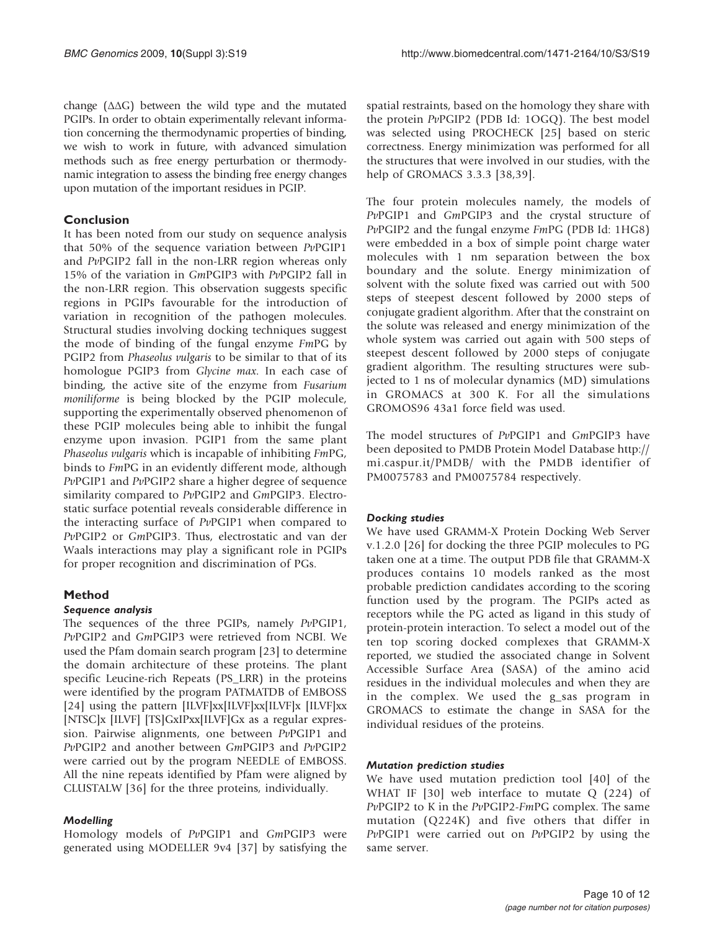change (∆∆G) between the wild type and the mutated PGIPs. In order to obtain experimentally relevant information concerning the thermodynamic properties of binding, we wish to work in future, with advanced simulation methods such as free energy perturbation or thermodynamic integration to assess the binding free energy changes upon mutation of the important residues in PGIP.

## Conclusion

It has been noted from our study on sequence analysis that 50% of the sequence variation between PvPGIP1 and PvPGIP2 fall in the non-LRR region whereas only 15% of the variation in GmPGIP3 with PvPGIP2 fall in the non-LRR region. This observation suggests specific regions in PGIPs favourable for the introduction of variation in recognition of the pathogen molecules. Structural studies involving docking techniques suggest the mode of binding of the fungal enzyme FmPG by PGIP2 from Phaseolus vulgaris to be similar to that of its homologue PGIP3 from Glycine max. In each case of binding, the active site of the enzyme from Fusarium moniliforme is being blocked by the PGIP molecule, supporting the experimentally observed phenomenon of these PGIP molecules being able to inhibit the fungal enzyme upon invasion. PGIP1 from the same plant Phaseolus vulgaris which is incapable of inhibiting FmPG, binds to FmPG in an evidently different mode, although PvPGIP1 and PvPGIP2 share a higher degree of sequence similarity compared to PvPGIP2 and GmPGIP3. Electrostatic surface potential reveals considerable difference in the interacting surface of PvPGIP1 when compared to PvPGIP2 or GmPGIP3. Thus, electrostatic and van der Waals interactions may play a significant role in PGIPs for proper recognition and discrimination of PGs.

## Method

## Sequence analysis

The sequences of the three PGIPs, namely PvPGIP1, PvPGIP2 and GmPGIP3 were retrieved from NCBI. We used the Pfam domain search program [[23\]](#page-11-0) to determine the domain architecture of these proteins. The plant specific Leucine-rich Repeats (PS\_LRR) in the proteins were identified by the program PATMATDB of EMBOSS [[24\]](#page-11-0) using the pattern [ILVF]xx[ILVF]xx[ILVF]x [ILVF]xx [NTSC]x [ILVF] [TS]GxIPxx[ILVF]Gx as a regular expression. Pairwise alignments, one between PvPGIP1 and PvPGIP2 and another between GmPGIP3 and PvPGIP2 were carried out by the program NEEDLE of EMBOSS. All the nine repeats identified by Pfam were aligned by CLUSTALW [\[36](#page-11-0)] for the three proteins, individually.

## Modelling

Homology models of PvPGIP1 and GmPGIP3 were generated using MODELLER 9v4 [[37\]](#page-11-0) by satisfying the spatial restraints, based on the homology they share with the protein PvPGIP2 (PDB Id: 1OGQ). The best model was selected using PROCHECK [\[25](#page-11-0)] based on steric correctness. Energy minimization was performed for all the structures that were involved in our studies, with the help of GROMACS 3.3.3 [\[38](#page-11-0),[39\]](#page-11-0).

The four protein molecules namely, the models of PvPGIP1 and GmPGIP3 and the crystal structure of PvPGIP2 and the fungal enzyme FmPG (PDB Id: 1HG8) were embedded in a box of simple point charge water molecules with 1 nm separation between the box boundary and the solute. Energy minimization of solvent with the solute fixed was carried out with 500 steps of steepest descent followed by 2000 steps of conjugate gradient algorithm. After that the constraint on the solute was released and energy minimization of the whole system was carried out again with 500 steps of steepest descent followed by 2000 steps of conjugate gradient algorithm. The resulting structures were subjected to 1 ns of molecular dynamics (MD) simulations in GROMACS at 300 K. For all the simulations GROMOS96 43a1 force field was used.

The model structures of PvPGIP1 and GmPGIP3 have been deposited to PMDB Protein Model Database [http://](http://mi.caspur.it/PMDB/) [mi.caspur.it/PMDB/](http://mi.caspur.it/PMDB/) with the PMDB identifier of PM0075783 and PM0075784 respectively.

## Docking studies

We have used GRAMM-X Protein Docking Web Server v.1.2.0 [\[26](#page-11-0)] for docking the three PGIP molecules to PG taken one at a time. The output PDB file that GRAMM-X produces contains 10 models ranked as the most probable prediction candidates according to the scoring function used by the program. The PGIPs acted as receptors while the PG acted as ligand in this study of protein-protein interaction. To select a model out of the ten top scoring docked complexes that GRAMM-X reported, we studied the associated change in Solvent Accessible Surface Area (SASA) of the amino acid residues in the individual molecules and when they are in the complex. We used the g\_sas program in GROMACS to estimate the change in SASA for the individual residues of the proteins.

## Mutation prediction studies

We have used mutation prediction tool [[40\]](#page-11-0) of the WHAT IF [[30\]](#page-11-0) web interface to mutate Q (224) of PvPGIP2 to K in the PvPGIP2-FmPG complex. The same mutation (Q224K) and five others that differ in PvPGIP1 were carried out on PvPGIP2 by using the same server.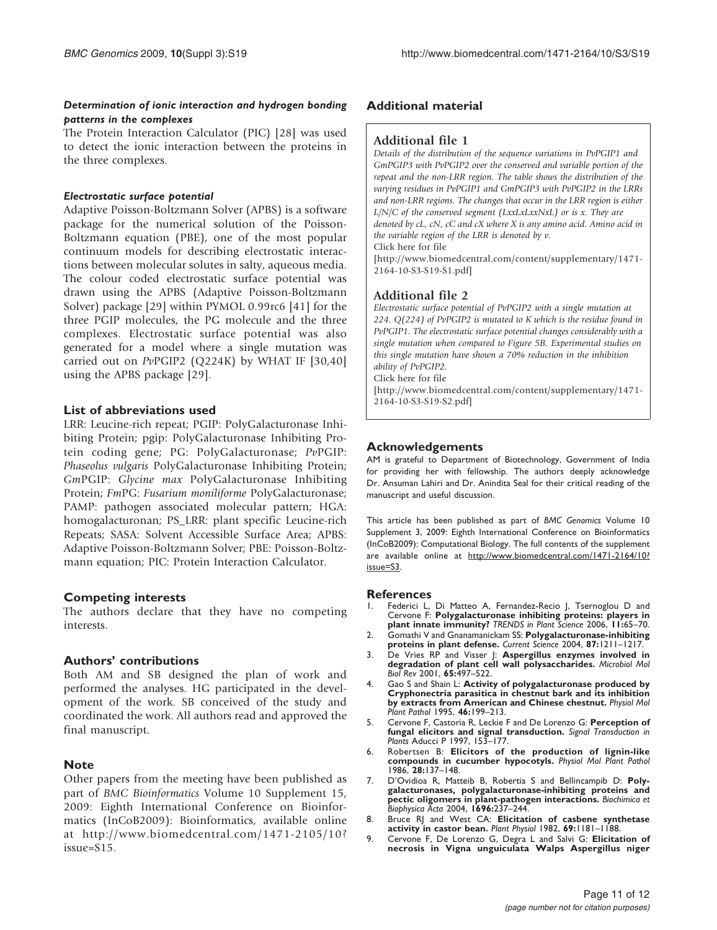## <span id="page-10-0"></span>Determination of ionic interaction and hydrogen bonding patterns in the complexes

The Protein Interaction Calculator (PIC) [[28\]](#page-11-0) was used to detect the ionic interaction between the proteins in the three complexes.

## Electrostatic surface potential

Adaptive Poisson-Boltzmann Solver (APBS) is a software package for the numerical solution of the Poisson-Boltzmann equation (PBE), one of the most popular continuum models for describing electrostatic interactions between molecular solutes in salty, aqueous media. The colour coded electrostatic surface potential was drawn using the APBS (Adaptive Poisson-Boltzmann Solver) package [\[29](#page-11-0)] within PYMOL 0.99rc6 [\[41](#page-11-0)] for the three PGIP molecules, the PG molecule and the three complexes. Electrostatic surface potential was also generated for a model where a single mutation was carried out on  $PvPGIP2$  (Q224K) by WHAT IF [\[30](#page-11-0),[40\]](#page-11-0) using the APBS package [\[29](#page-11-0)].

## List of abbreviations used

LRR: Leucine-rich repeat; PGIP: PolyGalacturonase Inhibiting Protein; pgip: PolyGalacturonase Inhibiting Protein coding gene; PG: PolyGalacturonase; PvPGIP: Phaseolus vulgaris PolyGalacturonase Inhibiting Protein; GmPGIP: Glycine max PolyGalacturonase Inhibiting Protein; FmPG: Fusarium moniliforme PolyGalacturonase; PAMP: pathogen associated molecular pattern; HGA: homogalacturonan; PS\_LRR: plant specific Leucine-rich Repeats; SASA: Solvent Accessible Surface Area; APBS: Adaptive Poisson-Boltzmann Solver; PBE: Poisson-Boltzmann equation; PIC: Protein Interaction Calculator.

## Competing interests

The authors declare that they have no competing interests.

## Authors' contributions

Both AM and SB designed the plan of work and performed the analyses. HG participated in the development of the work. SB conceived of the study and coordinated the work. All authors read and approved the final manuscript.

## **Note**

Other papers from the meeting have been published as part of BMC Bioinformatics Volume 10 Supplement 15, 2009: Eighth International Conference on Bioinformatics (InCoB2009): Bioinformatics, available online at [http://www.biomedcentral.com/1471-2105/10?](http://www.biomedcentral.com/1471-2105/10?issue=S15) [issue=S15](http://www.biomedcentral.com/1471-2105/10?issue=S15).

## Additional material

## Additional file 1

Details of the distribution of the sequence variations in PvPGIP1 and GmPGIP3 with PvPGIP2 over the conserved and variable portion of the repeat and the non-LRR region. The table shows the distribution of the varying residues in PvPGIP1 and GmPGIP3 with PvPGIP2 in the LRRs and non-LRR regions. The changes that occur in the LRR region is either  $L/N/C$  of the conserved segment (LxxLxLxxNxL) or is x. They are denoted by cL, cN, cC and cX where X is any amino acid. Amino acid in the variable region of the LRR is denoted by v. Click here for file

[http://www.biomedcentral.com/content/supplementary/1471- 2164-10-S3-S19-S1.pdf]

## Additional file 2

Electrostatic surface potential of PvPGIP2 with a single mutation at 224. Q(224) of PvPGIP2 is mutated to K which is the residue found in PvPGIP1. The electrostatic surface potential changes considerably with a single mutation when compared to Figure [5B](#page-7-0). Experimental studies on this single mutation have shown a 70% reduction in the inhibition ability of PvPGIP2. Click here for file

[http://www.biomedcentral.com/content/supplementary/1471- 2164-10-S3-S19-S2.pdf]

## Acknowledgements

AM is grateful to Department of Biotechnology, Government of India for providing her with fellowship. The authors deeply acknowledge Dr. Ansuman Lahiri and Dr. Anindita Seal for their critical reading of the manuscript and useful discussion.

This article has been published as part of BMC Genomics Volume 10 Supplement 3, 2009: Eighth International Conference on Bioinformatics (InCoB2009): Computational Biology. The full contents of the supplement are available online at [http://www.biomedcentral.com/1471-2164/10?](http://www.biomedcentral.com/1471-2164/10?issue=S3) [issue=S3](http://www.biomedcentral.com/1471-2164/10?issue=S3).

## References

- Federici L, Di Matteo A, Fernandez-Recio J, Tsernoglou D and Cervone F: [Polygalacturonase inhibiting proteins: players in](http://www.ncbi.nlm.nih.gov/pubmed/16406303?dopt=Abstract) [plant innate immunity?](http://www.ncbi.nlm.nih.gov/pubmed/16406303?dopt=Abstract) TRENDS in Plant Science 2006, 11:65–70.
- 2. Gomathi V and Gnanamanickam SS: Polygalacturonase-inhibiting proteins in plant defense. Current Science 2004, 87:1211-1217
- 3. De Vries RP and Visser J: [Aspergillus enzymes involved in](http://www.ncbi.nlm.nih.gov/pubmed/11729262?dopt=Abstract) [degradation of plant cell wall polysaccharides.](http://www.ncbi.nlm.nih.gov/pubmed/11729262?dopt=Abstract) Microbiol Mo.<br>Biol Rev 2001, 65:497–522.
- 4. Gao S and Shain L: Activity of polygalacturonase produced by Cryphonectria parasitica in chestnut bark and its inhibition by extracts from American and Chinese chestnut. Physiol Mol Plant Pathol 1995, 46:199-213.
- 5. Cervone F, Castoria R, Leckie F and De Lorenzo G: Perception of fungal elicitors and signal transduction. Signal Transduction in Plants Aducci P 1997, 153–177.
- 6. Robertsen B: Elicitors of the production of lignin-like compounds in cucumber hypocotyls. Physiol Mol Plant Pathol 1986, 28:137–148.
- 7. D'Ovidioa R, Matteib B, Robertia S and Bellincampib D: [Poly](http://www.ncbi.nlm.nih.gov/pubmed/14871664?dopt=Abstract)[galacturonases, polygalacturonase-inhibiting proteins and](http://www.ncbi.nlm.nih.gov/pubmed/14871664?dopt=Abstract) [pectic oligomers in plant-pathogen interactions.](http://www.ncbi.nlm.nih.gov/pubmed/14871664?dopt=Abstract) Biochimica et Biophysica Acta 2004, 1696:237-244.
- 8. Bruce RJ and West CA: [Elicitation of casbene synthetase](http://www.ncbi.nlm.nih.gov/pubmed/16662367?dopt=Abstract) [activity in castor bean.](http://www.ncbi.nlm.nih.gov/pubmed/16662367?dopt=Abstract) Plant Physiol 1982, 69:1181-1188.
- 9. Cervone F, De Lorenzo G, Degra L and Salvi G: [Elicitation of](http://www.ncbi.nlm.nih.gov/pubmed/16665750?dopt=Abstract) [necrosis in Vigna unguiculata Walps Aspergillus niger](http://www.ncbi.nlm.nih.gov/pubmed/16665750?dopt=Abstract)